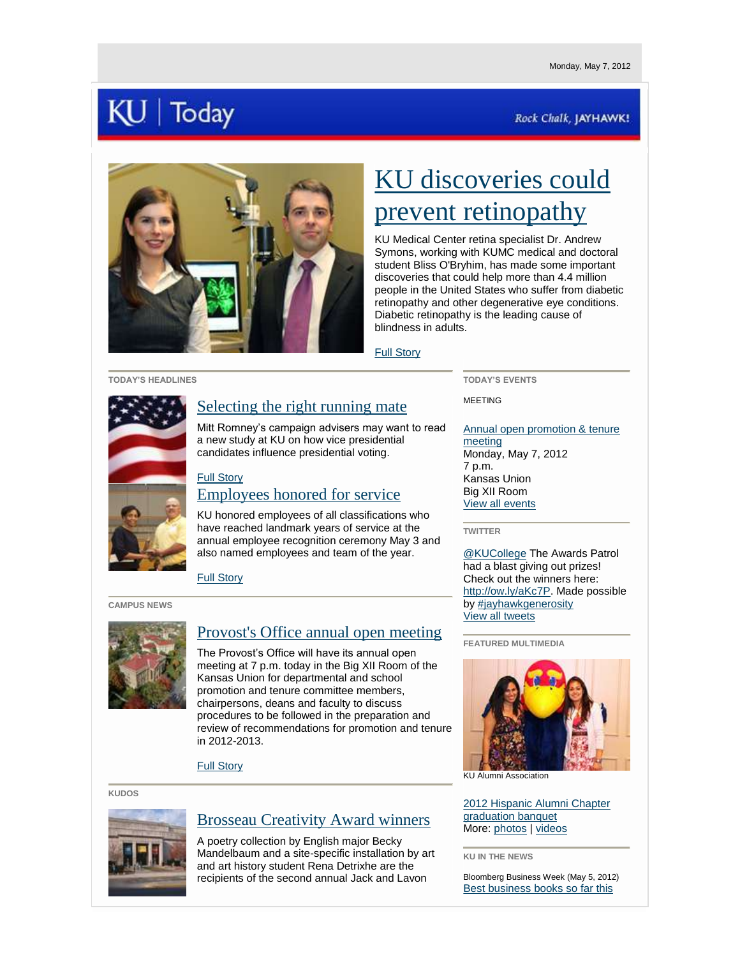# $J \mid$  Today

### Rock Chalk, JAYHAWK!



# [KU discoveries could](http://www.kumc.edu/news-listing-page/repairing-the-retina.html)  [prevent retinopathy](http://www.kumc.edu/news-listing-page/repairing-the-retina.html)

KU Medical Center retina specialist Dr. Andrew Symons, working with KUMC medical and doctoral student Bliss O'Bryhim, has made some important discoveries that could help more than 4.4 million people in the United States who suffer from diabetic retinopathy and other degenerative eye conditions. Diabetic retinopathy is the leading cause of blindness in adults.

#### [Full Story](http://www.kumc.edu/news-listing-page/repairing-the-retina.html)

#### **TODAY'S HEADLINES**



## [Selecting the right running mate](http://www.news.ku.edu/2012/may/7/nominees.shtml)

Mitt Romney's campaign advisers may want to read a new study at KU on how vice presidential candidates influence presidential voting.

### [Full Story](http://www.news.ku.edu/2012/may/7/nominees.shtml) [Employees honored for service](http://www.news.ku.edu/2012/may/7/erc.shtml)

KU honored employees of all classifications who have reached landmark years of service at the annual employee recognition ceremony May 3 and also named employees and team of the year.

[Full Story](http://www.news.ku.edu/2012/may/7/erc.shtml)

#### **CAMPUS NEWS**



## [Provost's Office annual open meeting](http://www.provost.ku.edu/memos/20120426.shtml)

The Provost's Office will have its annual open meeting at 7 p.m. today in the Big XII Room of the Kansas Union for departmental and school promotion and tenure committee members, chairpersons, deans and faculty to discuss procedures to be followed in the preparation and review of recommendations for promotion and tenure in 2012-2013.

[Full Story](http://www.provost.ku.edu/memos/20120426.shtml)

**KUDOS**



# [Brosseau Creativity Award winners](http://www2.ku.edu/~kunews/cgi-bin/ku-spencer-art-museum-announces-brosseau-creativity-award-winners)

A poetry collection by English major Becky Mandelbaum and a site-specific installation by art and art history student Rena Detrixhe are the recipients of the second annual Jack and Lavon

**TODAY'S EVENTS**

MEETING

[Annual open promotion & tenure](http://calendar.ku.edu/index.php?option=eventview&ce_id=44669)  [meeting](http://calendar.ku.edu/index.php?option=eventview&ce_id=44669) Monday, May 7, 2012 7 p.m. Kansas Union Big XII Room [View all events](http://calendar.ku.edu/)

**TWITTER**

[@KUCollege](http://www.twitter.com/kucollege) The Awards Patrol had a blast giving out prizes! Check out the winners here: [http://ow.ly/aKc7P.](http://ow.ly/aKc7P) Made possible b[y #jayhawkgenerosity](http://twitter.com/search?q=jayhawkgenerosity) [View all tweets](http://www.twitter.com/kunews) 

**FEATURED MULTIMEDIA**



KU Alumni Association

[2012 Hispanic Alumni Chapter](http://www.flickr.com/photos/kualumni/sets/72157629986820253/)  [graduation banquet](http://www.flickr.com/photos/kualumni/sets/72157629986820253/) More: [photos](http://www.flickr.com/universityofkansas/) | [videos](http://www.youtube.com/ku)

**KU IN THE NEWS**

Bloomberg Business Week (May 5, 2012) [Best business books so far this](http://www.businessweek.com/news/2012-05-05/white-house-burns-as-krugman-gnashes-teeth-in-top-business-books)